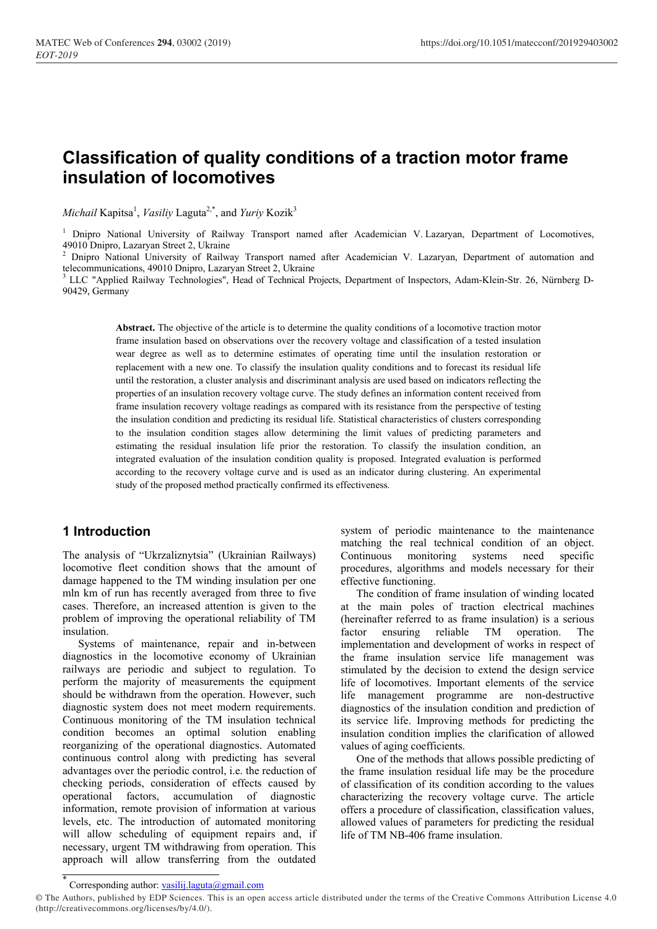# **Classification of quality conditions of a traction motor frame insulation of locomotives**

*Michail* Kapitsa1 , *Vasiliy* Laguta2,\*, and *Yuriy* Kozik<sup>3</sup>

<sup>1</sup> Dnipro National University of Railway Transport named after Academician V. Lazaryan, Department of Locomotives, 49010 Dnipro, Lazaryan Street 2, Ukraine

2 Dnipro National University of Railway Transport named after Academician V. Lazaryan, Department of automation and telecommunications, 49010 Dnipro, Lazaryan Street 2, Ukraine

 LLC "Applied Railway Technologies", Head of Technical Projects, Department of Inspectors, Adam-Klein-Str. 26, Nürnberg D-90429, Germany

**Abstract.** The objective of the article is to determine the quality conditions of a locomotive traction motor frame insulation based on observations over the recovery voltage and classification of a tested insulation wear degree as well as to determine estimates of operating time until the insulation restoration or replacement with a new one. To classify the insulation quality conditions and to forecast its residual life until the restoration, a cluster analysis and discriminant analysis are used based on indicators reflecting the properties of an insulation recovery voltage curve. The study defines an information content received from frame insulation recovery voltage readings as compared with its resistance from the perspective of testing the insulation condition and predicting its residual life. Statistical characteristics of clusters corresponding to the insulation condition stages allow determining the limit values of predicting parameters and estimating the residual insulation life prior the restoration. To classify the insulation condition, an integrated evaluation of the insulation condition quality is proposed. Integrated evaluation is performed according to the recovery voltage curve and is used as an indicator during clustering. An experimental study of the proposed method practically confirmed its effectiveness.

## **1 Introduction**

The analysis of "Ukrzaliznytsia" (Ukrainian Railways) locomotive fleet condition shows that the amount of damage happened to the TM winding insulation per one mln km of run has recently averaged from three to five cases. Therefore, an increased attention is given to the problem of improving the operational reliability of TM insulation.

Systems of maintenance, repair and in-between diagnostics in the locomotive economy of Ukrainian railways are periodic and subject to regulation. To perform the majority of measurements the equipment should be withdrawn from the operation. However, such diagnostic system does not meet modern requirements. Continuous monitoring of the TM insulation technical condition becomes an optimal solution enabling reorganizing of the operational diagnostics. Automated continuous control along with predicting has several advantages over the periodic control, i.e. the reduction of checking periods, consideration of effects caused by operational factors, accumulation of diagnostic information, remote provision of information at various levels, etc. The introduction of automated monitoring will allow scheduling of equipment repairs and, if necessary, urgent TM withdrawing from operation. This approach will allow transferring from the outdated

system of periodic maintenance to the maintenance matching the real technical condition of an object. Continuous monitoring systems need specific procedures, algorithms and models necessary for their effective functioning.

The condition of frame insulation of winding located at the main poles of traction electrical machines (hereinafter referred to as frame insulation) is a serious factor ensuring reliable TM operation. The implementation and development of works in respect of the frame insulation service life management was stimulated by the decision to extend the design service life of locomotives. Important elements of the service life management programme are non-destructive diagnostics of the insulation condition and prediction of its service life. Improving methods for predicting the insulation condition implies the clarification of allowed values of aging coefficients.

One of the methods that allows possible predicting of the frame insulation residual life may be the procedure of classification of its condition according to the values characterizing the recovery voltage curve. The article offers a procedure of classification, classification values, allowed values of parameters for predicting the residual life of TM NB-406 frame insulation.

<sup>\*</sup> Corresponding author: vasilij.laguta@gmail.com

<sup>©</sup> The Authors, published by EDP Sciences. This is an open access article distributed under the terms of the Creative Commons Attribution License 4.0 (http://creativecommons.org/licenses/by/4.0/).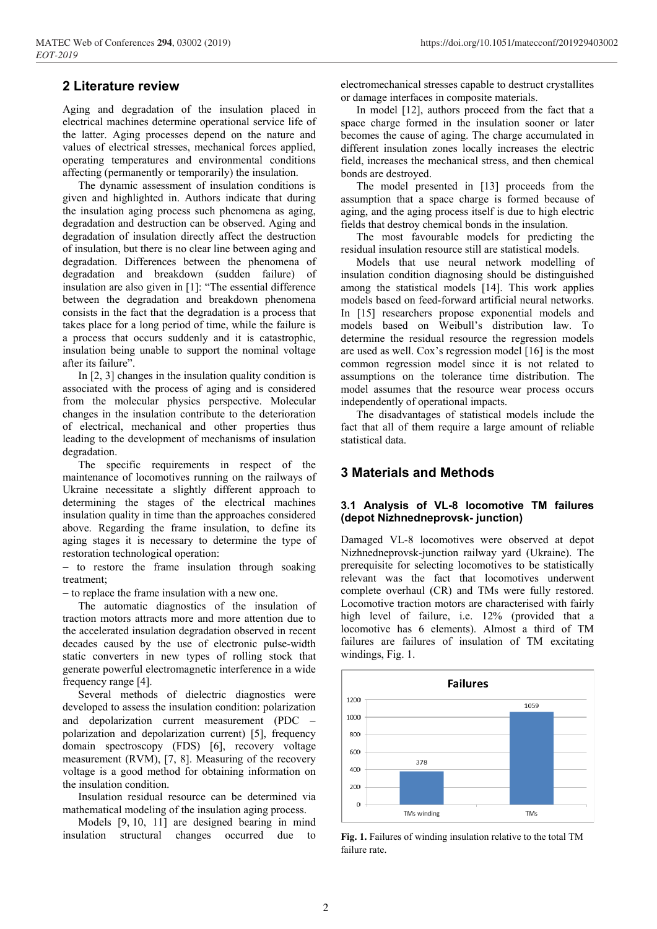## **2 Literature review**

Aging and degradation of the insulation placed in electrical machines determine operational service life of the latter. Aging processes depend on the nature and values of electrical stresses, mechanical forces applied, operating temperatures and environmental conditions affecting (permanently or temporarily) the insulation.

The dynamic assessment of insulation conditions is given and highlighted in. Authors indicate that during the insulation aging process such phenomena as aging, degradation and destruction can be observed. Aging and degradation of insulation directly affect the destruction of insulation, but there is no clear line between aging and degradation. Differences between the phenomena of degradation and breakdown (sudden failure) of insulation are also given in [1]: "The essential difference between the degradation and breakdown phenomena consists in the fact that the degradation is a process that takes place for a long period of time, while the failure is a process that occurs suddenly and it is catastrophic, insulation being unable to support the nominal voltage after its failure".

In [2, 3] changes in the insulation quality condition is associated with the process of aging and is considered from the molecular physics perspective. Molecular changes in the insulation contribute to the deterioration of electrical, mechanical and other properties thus leading to the development of mechanisms of insulation degradation.

The specific requirements in respect of the maintenance of locomotives running on the railways of Ukraine necessitate a slightly different approach to determining the stages of the electrical machines insulation quality in time than the approaches considered above. Regarding the frame insulation, to define its aging stages it is necessary to determine the type of restoration technological operation:

 $-$  to restore the frame insulation through soaking treatment;

 $-$  to replace the frame insulation with a new one.

The automatic diagnostics of the insulation of traction motors attracts more and more attention due to the accelerated insulation degradation observed in recent decades caused by the use of electronic pulse-width static converters in new types of rolling stock that generate powerful electromagnetic interference in a wide frequency range [4].

Several methods of dielectric diagnostics were developed to assess the insulation condition: polarization and depolarization current measurement (PDC polarization and depolarization current) [5], frequency domain spectroscopy (FDS) [6], recovery voltage measurement (RVM), [7, 8]. Measuring of the recovery voltage is a good method for obtaining information on the insulation condition.

Insulation residual resource can be determined via mathematical modeling of the insulation aging process.

Models [9, 10, 11] are designed bearing in mind insulation structural changes occurred due to electromechanical stresses capable to destruct crystallites or damage interfaces in composite materials.

In model [12], authors proceed from the fact that a space charge formed in the insulation sooner or later becomes the cause of aging. The charge accumulated in different insulation zones locally increases the electric field, increases the mechanical stress, and then chemical bonds are destroyed.

The model presented in [13] proceeds from the assumption that a space charge is formed because of aging, and the aging process itself is due to high electric fields that destroy chemical bonds in the insulation.

The most favourable models for predicting the residual insulation resource still are statistical models.

Models that use neural network modelling of insulation condition diagnosing should be distinguished among the statistical models [14]. This work applies models based on feed-forward artificial neural networks. In [15] researchers propose exponential models and models based on Weibull's distribution law. To determine the residual resource the regression models are used as well. Cox's regression model [16] is the most common regression model since it is not related to assumptions on the tolerance time distribution. The model assumes that the resource wear process occurs independently of operational impacts.

The disadvantages of statistical models include the fact that all of them require a large amount of reliable statistical data.

## **3 Materials and Methods**

#### **3.1 Analysis of VL-8 locomotive TM failures (depot Nizhnedneprovsk- junction)**

Damaged VL-8 locomotives were observed at depot Nizhnedneprovsk-junction railway yard (Ukraine). The prerequisite for selecting locomotives to be statistically relevant was the fact that locomotives underwent complete overhaul (CR) and TMs were fully restored. Locomotive traction motors are characterised with fairly high level of failure, i.e. 12% (provided that a locomotive has 6 elements). Almost a third of TM failures are failures of insulation of TM excitating windings, Fig. 1.



**Fig. 1.** Failures of winding insulation relative to the total TM failure rate.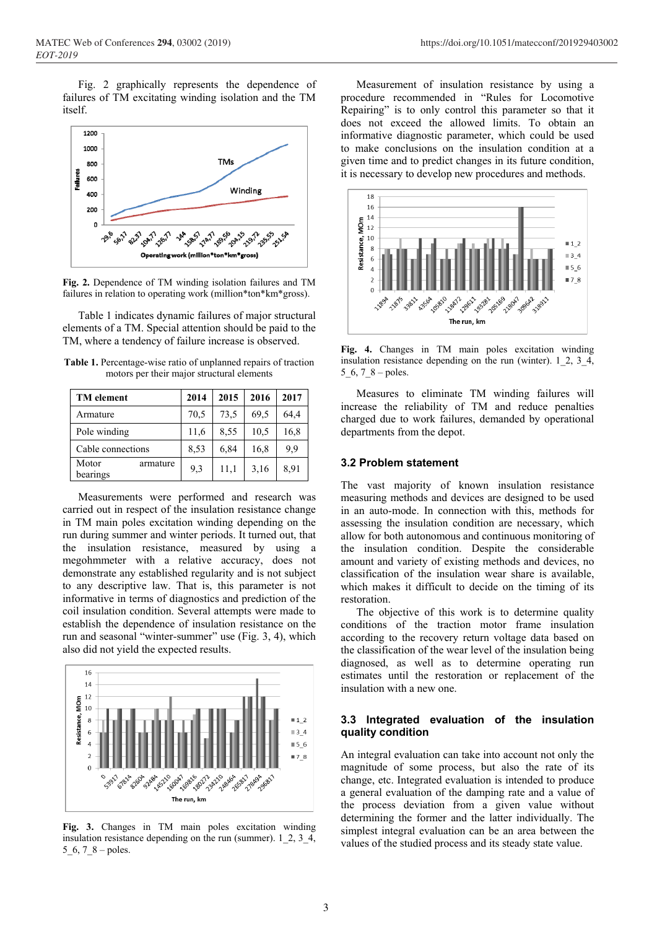Fig. 2 graphically represents the dependence of failures of TM excitating winding isolation and the TM itself.



**Fig. 2.** Dependence of TM winding isolation failures and TM failures in relation to operating work (million\*ton\*km\*gross).

Table 1 indicates dynamic failures of major structural elements of a TM. Special attention should be paid to the TM, where a tendency of failure increase is observed.

| <b>Table 1.</b> Percentage-wise ratio of unplanned repairs of traction |
|------------------------------------------------------------------------|
| motors per their major structural elements                             |

| <b>TM</b> element             | 2014 | 2015 | 2016 | 2017 |
|-------------------------------|------|------|------|------|
| Armature                      | 70,5 | 73,5 | 69.5 | 64,4 |
| Pole winding                  | 11,6 | 8.55 | 10,5 | 16,8 |
| Cable connections             | 8,53 | 6,84 | 16,8 | 9,9  |
| Motor<br>armature<br>bearings | 9,3  | 11,1 | 3,16 | 8,91 |

Measurements were performed and research was carried out in respect of the insulation resistance change in TM main poles excitation winding depending on the run during summer and winter periods. It turned out, that the insulation resistance, measured by using a megohmmeter with a relative accuracy, does not demonstrate any established regularity and is not subject to any descriptive law. That is, this parameter is not informative in terms of diagnostics and prediction of the coil insulation condition. Several attempts were made to establish the dependence of insulation resistance on the run and seasonal "winter-summer" use (Fig. 3, 4), which also did not yield the expected results.



**Fig. 3.** Changes in TM main poles excitation winding insulation resistance depending on the run (summer). 1\_2, 3\_4, 5\_6, 7\_8 – poles.

Measurement of insulation resistance by using a procedure recommended in "Rules for Locomotive Repairing" is to only control this parameter so that it does not exceed the allowed limits. To obtain an informative diagnostic parameter, which could be used to make conclusions on the insulation condition at a given time and to predict changes in its future condition, it is necessary to develop new procedures and methods.



**Fig. 4.** Changes in TM main poles excitation winding insulation resistance depending on the run (winter). 1\_2, 3\_4, 5\_6, 7\_8 – poles.

Measures to eliminate TM winding failures will increase the reliability of TM and reduce penalties charged due to work failures, demanded by operational departments from the depot.

#### **3.2 Problem statement**

The vast majority of known insulation resistance measuring methods and devices are designed to be used in an auto-mode. In connection with this, methods for assessing the insulation condition are necessary, which allow for both autonomous and continuous monitoring of the insulation condition. Despite the considerable amount and variety of existing methods and devices, no classification of the insulation wear share is available, which makes it difficult to decide on the timing of its restoration.

The objective of this work is to determine quality conditions of the traction motor frame insulation according to the recovery return voltage data based on the classification of the wear level of the insulation being diagnosed, as well as to determine operating run estimates until the restoration or replacement of the insulation with a new one.

#### **3.3 Integrated evaluation of the insulation quality condition**

An integral evaluation can take into account not only the magnitude of some process, but also the rate of its change, etc. Integrated evaluation is intended to produce a general evaluation of the damping rate and a value of the process deviation from a given value without determining the former and the latter individually. The simplest integral evaluation can be an area between the values of the studied process and its steady state value.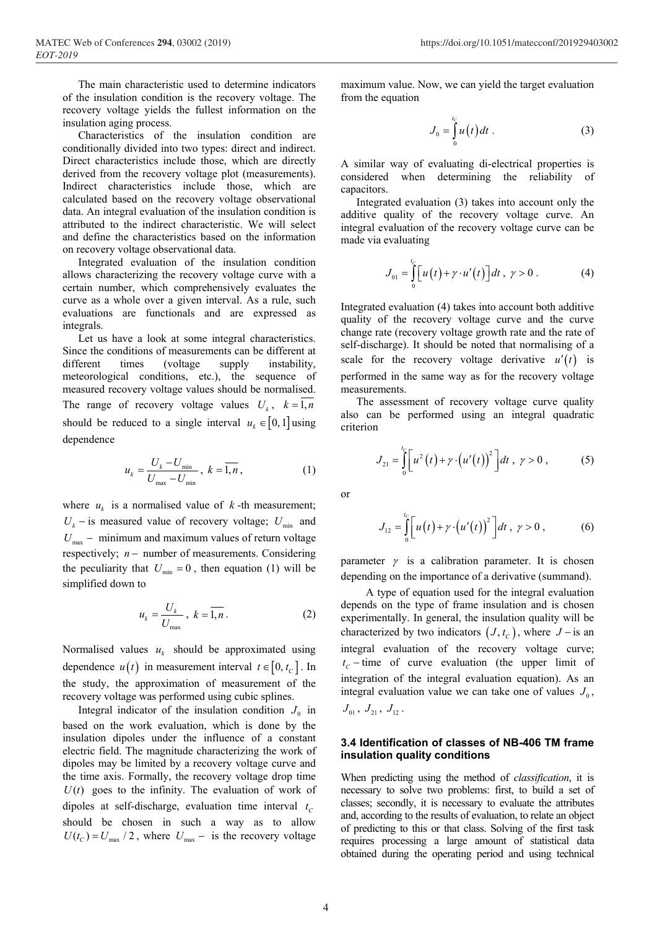The main characteristic used to determine indicators of the insulation condition is the recovery voltage. The recovery voltage yields the fullest information on the insulation aging process.

Characteristics of the insulation condition are conditionally divided into two types: direct and indirect. Direct characteristics include those, which are directly derived from the recovery voltage plot (measurements). Indirect characteristics include those, which are calculated based on the recovery voltage observational data. An integral evaluation of the insulation condition is attributed to the indirect characteristic. We will select and define the characteristics based on the information on recovery voltage observational data.

Integrated evaluation of the insulation condition allows characterizing the recovery voltage curve with a certain number, which comprehensively evaluates the curve as a whole over a given interval. As a rule, such evaluations are functionals and are expressed as integrals.

Let us have a look at some integral characteristics. Since the conditions of measurements can be different at different times (voltage supply instability, meteorological conditions, etc.), the sequence of measured recovery voltage values should be normalised. The range of recovery voltage values  $U_k$ ,  $k = 1, n$ should be reduced to a single interval  $u_k \in [0, 1]$  using dependence

$$
u_k = \frac{U_k - U_{\min}}{U_{\max} - U_{\min}}, \ k = \overline{1, n}, \tag{1}
$$

where  $u_k$  is a normalised value of  $k$ -th measurement;  $U_k$  – is measured value of recovery voltage;  $U_{min}$  and  $U_{\text{max}}$  – minimum and maximum values of return voltage respectively;  $n -$  number of measurements. Considering the peculiarity that  $U_{\text{min}} = 0$ , then equation (1) will be simplified down to

$$
u_k = \frac{U_k}{U_{\text{max}}}, \ k = \overline{1, n} \,. \tag{2}
$$

Normalised values  $u_k$  should be approximated using dependence  $u(t)$  in measurement interval  $t \in [0, t_c]$ . In the study, the approximation of measurement of the recovery voltage was performed using cubic splines.

Integral indicator of the insulation condition  $J_0$  in based on the work evaluation, which is done by the insulation dipoles under the influence of a constant electric field. The magnitude characterizing the work of dipoles may be limited by a recovery voltage curve and the time axis. Formally, the recovery voltage drop time  $U(t)$  goes to the infinity. The evaluation of work of dipoles at self-discharge, evaluation time interval  $t_c$ should be chosen in such a way as to allow  $U(t_C) = U_{\text{max}} / 2$ , where  $U_{\text{max}} -$  is the recovery voltage

maximum value. Now, we can yield the target evaluation from the equation

$$
J_0 = \int_0^{t_c} u(t) dt . \tag{3}
$$

A similar way of evaluating di-electrical properties is considered when determining the reliability of capacitors.

Integrated evaluation (3) takes into account only the additive quality of the recovery voltage curve. An integral evaluation of the recovery voltage curve can be made via evaluating

$$
J_{01} = \int_{0}^{t_C} \left[ u(t) + \gamma \cdot u'(t) \right] dt, \ \gamma > 0 \ . \tag{4}
$$

Integrated evaluation (4) takes into account both additive quality of the recovery voltage curve and the curve change rate (recovery voltage growth rate and the rate of self-discharge). It should be noted that normalising of a scale for the recovery voltage derivative  $u'(t)$  is performed in the same way as for the recovery voltage measurements.

The assessment of recovery voltage curve quality also can be performed using an integral quadratic criterion

$$
J_{21} = \int_{0}^{t_{c}} \left[ u^{2}(t) + \gamma \cdot (u'(t))^{2} \right] dt, \ \gamma > 0 , \qquad (5)
$$

or

$$
J_{12} = \int_{0}^{t_{c}} \left[ u(t) + \gamma \cdot (u'(t))^{2} \right] dt, \ \gamma > 0 , \qquad (6)
$$

parameter  $\gamma$  is a calibration parameter. It is chosen depending on the importance of a derivative (summand).

 A type of equation used for the integral evaluation depends on the type of frame insulation and is chosen experimentally. In general, the insulation quality will be characterized by two indicators  $(J, t_c)$ , where  $J$  – is an integral evaluation of the recovery voltage curve;  $t_c$  – time of curve evaluation (the upper limit of integration of the integral evaluation equation). As an integral evaluation value we can take one of values  $J_0$ ,  $J_{01}$ ,  $J_{21}$ ,  $J_{12}$ .

#### **3.4 Identification of classes of NB-406 TM frame insulation quality conditions**

When predicting using the method of *classification*, it is necessary to solve two problems: first, to build a set of classes; secondly, it is necessary to evaluate the attributes and, according to the results of evaluation, to relate an object of predicting to this or that class. Solving of the first task requires processing a large amount of statistical data obtained during the operating period and using technical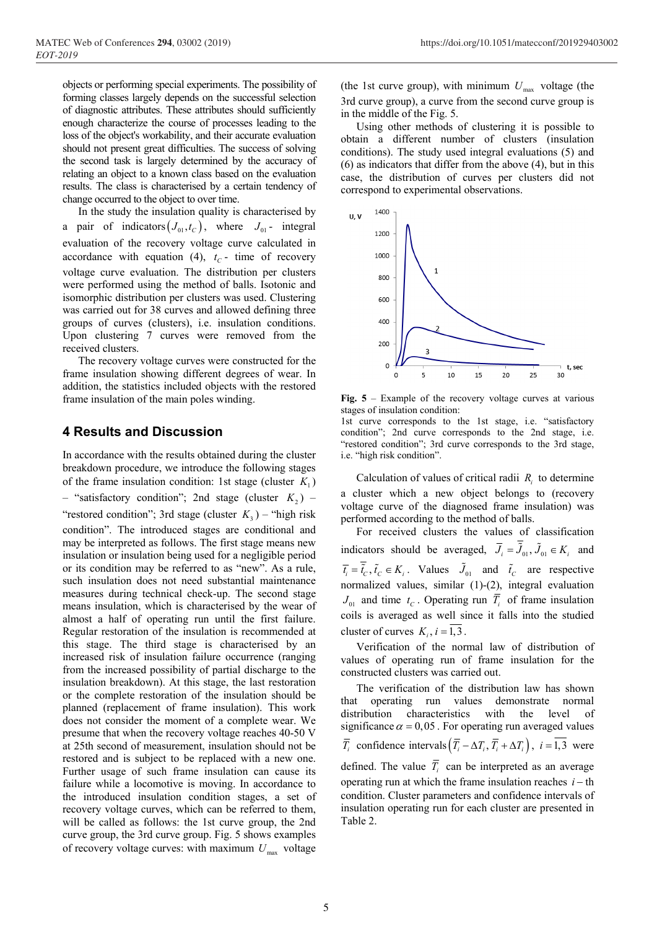objects or performing special experiments. The possibility of forming classes largely depends on the successful selection of diagnostic attributes. These attributes should sufficiently enough characterize the course of processes leading to the loss of the object's workability, and their accurate evaluation should not present great difficulties. The success of solving the second task is largely determined by the accuracy of relating an object to a known class based on the evaluation results. The class is characterised by a certain tendency of change occurred to the object to over time.

In the study the insulation quality is characterised by a pair of indicators  $(J_{01}, t_c)$ , where  $J_{01}$ - integral evaluation of the recovery voltage curve calculated in accordance with equation (4),  $t_c$  - time of recovery voltage curve evaluation. The distribution per clusters were performed using the method of balls. Isotonic and isomorphic distribution per clusters was used. Clustering was carried out for 38 curves and allowed defining three groups of curves (clusters), i.e. insulation conditions. Upon clustering 7 curves were removed from the received clusters.

The recovery voltage curves were constructed for the frame insulation showing different degrees of wear. In addition, the statistics included objects with the restored frame insulation of the main poles winding.

## **4 Results and Discussion**

In accordance with the results obtained during the cluster breakdown procedure, we introduce the following stages of the frame insulation condition: 1st stage (cluster  $K<sub>1</sub>$ ) – "satisfactory condition"; 2nd stage (cluster  $K<sub>2</sub>$ ) – "restored condition"; 3rd stage (cluster  $K<sub>3</sub>$ ) – "high risk" condition". The introduced stages are conditional and may be interpreted as follows. The first stage means new insulation or insulation being used for a negligible period or its condition may be referred to as "new". As a rule, such insulation does not need substantial maintenance measures during technical check-up. The second stage means insulation, which is characterised by the wear of almost a half of operating run until the first failure. Regular restoration of the insulation is recommended at this stage. The third stage is characterised by an increased risk of insulation failure occurrence (ranging from the increased possibility of partial discharge to the insulation breakdown). At this stage, the last restoration or the complete restoration of the insulation should be planned (replacement of frame insulation). This work does not consider the moment of a complete wear. We presume that when the recovery voltage reaches 40-50 V at 25th second of measurement, insulation should not be restored and is subject to be replaced with a new one. Further usage of such frame insulation can cause its failure while a locomotive is moving. In accordance to the introduced insulation condition stages, a set of recovery voltage curves, which can be referred to them, will be called as follows: the 1st curve group, the 2nd curve group, the 3rd curve group. Fig. 5 shows examples of recovery voltage curves: with maximum  $U_{\text{max}}$  voltage

(the 1st curve group), with minimum  $U_{\text{max}}$  voltage (the 3rd curve group), a curve from the second curve group is in the middle of the Fig. 5.

Using other methods of clustering it is possible to obtain a different number of clusters (insulation conditions). The study used integral evaluations (5) and (6) as indicators that differ from the above (4), but in this case, the distribution of curves per clusters did not correspond to experimental observations.



**Fig. 5** – Example of the recovery voltage curves at various stages of insulation condition:

1st curve corresponds to the 1st stage, i.e. "satisfactory condition"; 2nd curve corresponds to the 2nd stage, i.e. "restored condition"; 3rd curve corresponds to the 3rd stage, i.e. "high risk condition".

Calculation of values of critical radii *Ri* to determine a cluster which a new object belongs to (recovery voltage curve of the diagnosed frame insulation) was performed according to the method of balls.

For received clusters the values of classification indicators should be averaged,  $\overline{J}_i = \overline{J}_{01}, \widetilde{J}_{01} \in K_i$  and  $\overline{t_i} = \overline{t}_c$ ,  $\tilde{t}_c \in K_i$ . Values  $\tilde{J}_{01}$  and  $\tilde{t}_c$  are respective normalized values, similar (1)-(2), integral evaluation  $J_{01}$  and time  $t_c$ . Operating run  $\overline{T}_i$  of frame insulation coils is averaged as well since it falls into the studied cluster of curves  $K_i$ ,  $i = 1,3$ .

Verification of the normal law of distribution of values of operating run of frame insulation for the constructed clusters was carried out.

The verification of the distribution law has shown that operating run values demonstrate normal distribution characteristics with the level of significance  $\alpha = 0.05$ . For operating run averaged values  $\overline{T}_i$  confidence intervals  $(\overline{T}_i - \Delta T_i, \overline{T}_i + \Delta T_i)$ ,  $i = \overline{1,3}$  were defined. The value  $\overline{T}_i$  can be interpreted as an average operating run at which the frame insulation reaches  $i - th$ condition. Cluster parameters and confidence intervals of insulation operating run for each cluster are presented in Table 2.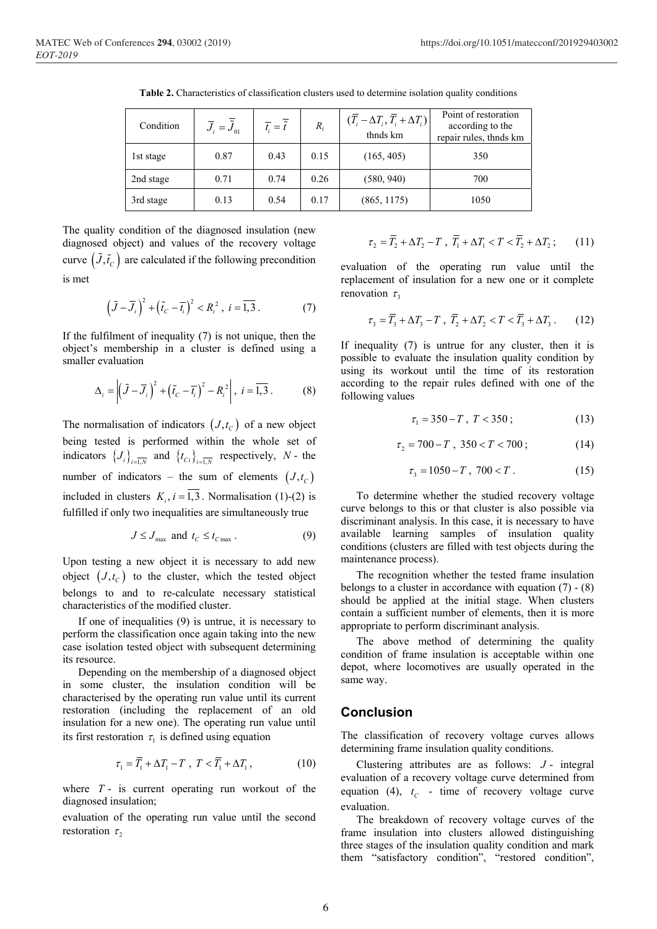| Condition | $\overline{J}_i = \overline{\tilde{J}}_{01}$ | $\overline{t_i} = \overline{\tilde{t}}$ | $R_i$ | $\left(\overline{T}_i - \Delta T_i, \overline{T}_i + \Delta T_i\right)$<br>thnds km | Point of restoration<br>according to the<br>repair rules, thnds km |
|-----------|----------------------------------------------|-----------------------------------------|-------|-------------------------------------------------------------------------------------|--------------------------------------------------------------------|
| 1st stage | 0.87                                         | 0.43                                    | 0.15  | (165, 405)                                                                          | 350                                                                |
| 2nd stage | 0.71                                         | 0.74                                    | 0.26  | (580, 940)                                                                          | 700                                                                |
| 3rd stage | 0.13                                         | 0.54                                    | 0.17  | (865, 1175)                                                                         | 1050                                                               |

**Table 2.** Characteristics of classification clusters used to determine isolation quality conditions

The quality condition of the diagnosed insulation (new diagnosed object) and values of the recovery voltage curve  $(\tilde{J}, \tilde{t}_c)$  are calculated if the following precondition is met

$$
\left(\tilde{J}-\overline{J}_i\right)^2+\left(\tilde{t}_C-\overline{t}_i\right)^2 < R_i^2 \,,\ i=\overline{1,3} \,. \tag{7}
$$

If the fulfilment of inequality (7) is not unique, then the object's membership in a cluster is defined using a smaller evaluation

$$
\Delta_i = \left| \left( \tilde{J} - \overline{J}_i \right)^2 + \left( \tilde{t}_C - \overline{t}_i \right)^2 - R_i^2 \right|, \ i = \overline{1,3} \,. \tag{8}
$$

The normalisation of indicators  $(J,t_c)$  of a new object being tested is performed within the whole set of indicators  $\{J_i\}_{i=\overline{1,N}}$  and  $\{t_{Ci}\}_{i=\overline{1,N}}$  respectively, N - the number of indicators – the sum of elements  $(J,t_C)$ included in clusters  $K_i$ ,  $i = \overline{1,3}$ . Normalisation (1)-(2) is fulfilled if only two inequalities are simultaneously true

$$
J \le J_{\text{max}} \text{ and } t_C \le t_{C \text{max}}. \tag{9}
$$

Upon testing a new object it is necessary to add new object  $(J, t_c)$  to the cluster, which the tested object belongs to and to re-calculate necessary statistical characteristics of the modified cluster.

If one of inequalities (9) is untrue, it is necessary to perform the classification once again taking into the new case isolation tested object with subsequent determining its resource.

Depending on the membership of a diagnosed object in some cluster, the insulation condition will be characterised by the operating run value until its current restoration (including the replacement of an old insulation for a new one). The operating run value until its first restoration  $\tau_1$  is defined using equation

$$
\tau_1 = T_1 + \Delta T_1 - T \, , \, T < T_1 + \Delta T_1 \, , \tag{10}
$$

where *T* - is current operating run workout of the diagnosed insulation;

evaluation of the operating run value until the second restoration  $\tau$ ,

$$
\tau_2 = \overline{T}_2 + \Delta T_2 - T \ , \ \overline{T}_1 + \Delta T_1 < T < \overline{T}_2 + \Delta T_2 \ ; \tag{11}
$$

evaluation of the operating run value until the replacement of insulation for a new one or it complete renovation  $\tau$ ,

$$
\tau_3 = \overline{T}_3 + \Delta T_3 - T \ , \ \overline{T}_2 + \Delta T_2 < T < \overline{T}_3 + \Delta T_3 \ . \tag{12}
$$

If inequality (7) is untrue for any cluster, then it is possible to evaluate the insulation quality condition by using its workout until the time of its restoration according to the repair rules defined with one of the following values

$$
\tau_1 = 350 - T \, , \, T < 350 \, ; \tag{13}
$$

$$
\tau_2 = 700 - T \ , \ 350 < T < 700 \ ; \tag{14}
$$

$$
\tau_3 = 1050 - T \,,\ 700 < T \,. \tag{15}
$$

To determine whether the studied recovery voltage curve belongs to this or that cluster is also possible via discriminant analysis. In this case, it is necessary to have available learning samples of insulation quality conditions (clusters are filled with test objects during the maintenance process).

The recognition whether the tested frame insulation belongs to a cluster in accordance with equation (7) - (8) should be applied at the initial stage. When clusters contain a sufficient number of elements, then it is more appropriate to perform discriminant analysis.

The above method of determining the quality condition of frame insulation is acceptable within one depot, where locomotives are usually operated in the same way.

## **Conclusion**

The classification of recovery voltage curves allows determining frame insulation quality conditions.

Clustering attributes are as follows: *J* - integral evaluation of a recovery voltage curve determined from equation (4),  $t_c$  - time of recovery voltage curve evaluation.

The breakdown of recovery voltage curves of the frame insulation into clusters allowed distinguishing three stages of the insulation quality condition and mark them "satisfactory condition", "restored condition",